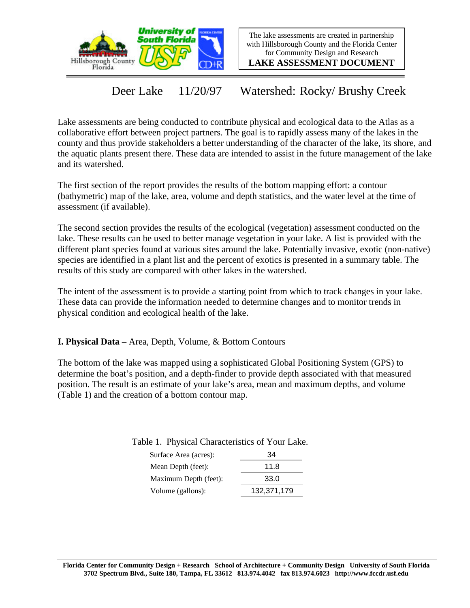

The lake assessments are created in partnership with Hillsborough County and the Florida Center for Community Design and Research

**LAKE ASSESSMENT DOCUMENT**

Deer Lake 11/20/97 Watershed: Rocky/ Brushy Creek

Lake assessments are being conducted to contribute physical and ecological data to the Atlas as a collaborative effort between project partners. The goal is to rapidly assess many of the lakes in the county and thus provide stakeholders a better understanding of the character of the lake, its shore, and the aquatic plants present there. These data are intended to assist in the future management of the lake and its watershed.

The first section of the report provides the results of the bottom mapping effort: a contour (bathymetric) map of the lake, area, volume and depth statistics, and the water level at the time of assessment (if available).

The second section provides the results of the ecological (vegetation) assessment conducted on the lake. These results can be used to better manage vegetation in your lake. A list is provided with the different plant species found at various sites around the lake. Potentially invasive, exotic (non-native) species are identified in a plant list and the percent of exotics is presented in a summary table. The results of this study are compared with other lakes in the watershed.

The intent of the assessment is to provide a starting point from which to track changes in your lake. These data can provide the information needed to determine changes and to monitor trends in physical condition and ecological health of the lake.

**I. Physical Data –** Area, Depth, Volume, & Bottom Contours

The bottom of the lake was mapped using a sophisticated Global Positioning System (GPS) to determine the boat's position, and a depth-finder to provide depth associated with that measured position. The result is an estimate of your lake's area, mean and maximum depths, and volume (Table 1) and the creation of a bottom contour map.

Table 1. Physical Characteristics of Your Lake.

| Surface Area (acres): | 34          |
|-----------------------|-------------|
| Mean Depth (feet):    | 11.8        |
| Maximum Depth (feet): | 33.0        |
| Volume (gallons):     | 132,371,179 |
|                       |             |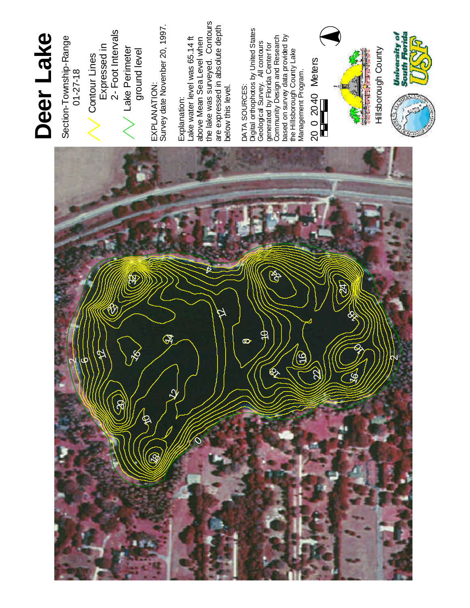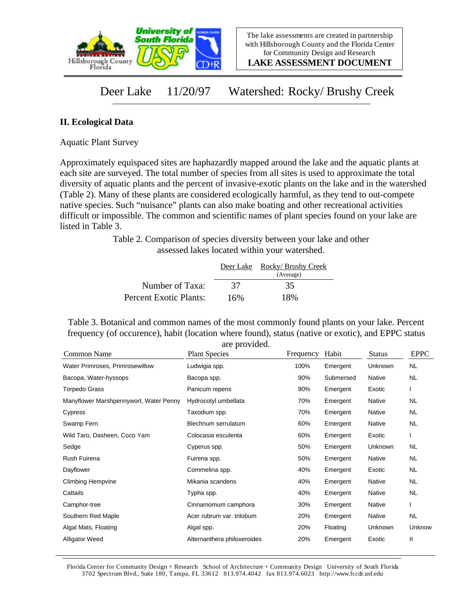

**LAKE ASSESSMENT DOCUMENT**

## Deer Lake 11/20/97 Watershed: Rocky/ Brushy Creek

## **II. Ecological Data**

Aquatic Plant Survey

Approximately equispaced sites are haphazardly mapped around the lake and the aquatic plants at each site are surveyed. The total number of species from all sites is used to approximate the total diversity of aquatic plants and the percent of invasive-exotic plants on the lake and in the watershed (Table 2). Many of these plants are considered ecologically harmful, as they tend to out-compete native species. Such "nuisance" plants can also make boating and other recreational activities difficult or impossible. The common and scientific names of plant species found on your lake are listed in Table 3.

> Table 2. Comparison of species diversity between your lake and other assessed lakes located within your watershed.

|                        |     | Deer Lake Rocky/ Brushy Creek<br>(Average) |
|------------------------|-----|--------------------------------------------|
| Number of Taxa:        | 37  | 35                                         |
| Percent Exotic Plants: | 16% | 18%                                        |

Table 3. Botanical and common names of the most commonly found plants on your lake. Percent frequency (of occurence), habit (location where found), status (native or exotic), and EPPC status are provided.

| Common Name                            | <b>Plant Species</b>        | Frequency | Habit     | <b>Status</b> | <b>EPPC</b> |
|----------------------------------------|-----------------------------|-----------|-----------|---------------|-------------|
| Water Primroses, Primrosewillow        | Ludwigia spp.               | 100%      | Emergent  | Unknown       | NL.         |
| Bacopa, Water-hyssops                  | Bacopa spp.                 | 90%       | Submersed | Native        | <b>NL</b>   |
| Torpedo Grass                          | Panicum repens              | 90%       | Emergent  | Exotic        |             |
| Manyflower Marshpennywort, Water Penny | Hydrocotyl umbellata        | 70%       | Emergent  | <b>Native</b> | NL.         |
| Cypress                                | Taxodium spp.               | 70%       | Emergent  | Native        | NL.         |
| Swamp Fern                             | Blechnum serrulatum         | 60%       | Emergent  | Native        | <b>NL</b>   |
| Wild Taro, Dasheen, Coco Yam           | Colocasia esculenta         | 60%       | Emergent  | Exotic        |             |
| Sedge                                  | Cyperus spp.                | 50%       | Emergent  | Unknown       | NL.         |
| Rush Fuirena                           | Fuirena spp.                | 50%       | Emergent  | Native        | NL.         |
| Dayflower                              | Commelina spp.              | 40%       | Emergent  | Exotic        | NL          |
| <b>Climbing Hempvine</b>               | Mikania scandens            | 40%       | Emergent  | Native        | NL          |
| Cattails                               | Typha spp.                  | 40%       | Emergent  | Native        | <b>NL</b>   |
| Camphor-tree                           | Cinnamomum camphora         | 30%       | Emergent  | Native        |             |
| Southern Red Maple                     | Acer rubrum var. trilobum   | 20%       | Emergent  | Native        | <b>NL</b>   |
| Algal Mats, Floating                   | Algal spp.                  | 20%       | Floating  | Unknown       | Unknow      |
| <b>Alligator Weed</b>                  | Alternanthera philoxeroides | 20%       | Emergent  | Exotic        | Ш           |

Florida Center for Community Design + Research School of Architecture + Community Design University of South Florida 3702 Spectrum Blvd., Suite 180, Tampa, FL 33612 813.974.4042 fax 813.974.6023 http://www.fccdr.usf.edu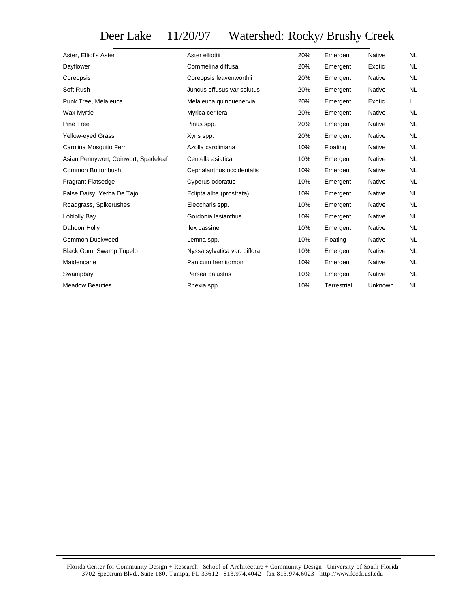## Deer Lake 11/20/97 Watershed: Rocky/ Brushy Creek

| Aster, Elliot's Aster                | Aster elliottii              | 20% | Emergent    | <b>Native</b> | <b>NL</b>    |
|--------------------------------------|------------------------------|-----|-------------|---------------|--------------|
| Dayflower                            | Commelina diffusa            | 20% | Emergent    | Exotic        | <b>NL</b>    |
| Coreopsis                            | Coreopsis leavenworthii      | 20% | Emergent    | Native        | <b>NL</b>    |
| Soft Rush                            | Juncus effusus var solutus   | 20% | Emergent    | Native        | <b>NL</b>    |
| Punk Tree, Melaleuca                 | Melaleuca quinquenervia      | 20% | Emergent    | Exotic        | $\mathbf{L}$ |
| Wax Myrtle                           | Myrica cerifera              | 20% | Emergent    | <b>Native</b> | <b>NL</b>    |
| Pine Tree                            | Pinus spp.                   | 20% | Emergent    | <b>Native</b> | <b>NL</b>    |
| Yellow-eyed Grass                    | Xyris spp.                   | 20% | Emergent    | <b>Native</b> | <b>NL</b>    |
| Carolina Mosquito Fern               | Azolla caroliniana           | 10% | Floating    | Native        | <b>NL</b>    |
| Asian Pennywort, Coinwort, Spadeleaf | Centella asiatica            | 10% | Emergent    | <b>Native</b> | <b>NL</b>    |
| Common Buttonbush                    | Cephalanthus occidentalis    | 10% | Emergent    | <b>Native</b> | <b>NL</b>    |
| <b>Fragrant Flatsedge</b>            | Cyperus odoratus             | 10% | Emergent    | <b>Native</b> | <b>NL</b>    |
| False Daisy, Yerba De Tajo           | Eclipta alba (prostrata)     | 10% | Emergent    | Native        | <b>NL</b>    |
| Roadgrass, Spikerushes               | Eleocharis spp.              | 10% | Emergent    | Native        | <b>NL</b>    |
| Loblolly Bay                         | Gordonia lasianthus          | 10% | Emergent    | <b>Native</b> | <b>NL</b>    |
| Dahoon Holly                         | llex cassine                 | 10% | Emergent    | Native        | <b>NL</b>    |
| Common Duckweed                      | Lemna spp.                   | 10% | Floating    | Native        | <b>NL</b>    |
| Black Gum, Swamp Tupelo              | Nyssa sylvatica var. biflora | 10% | Emergent    | Native        | <b>NL</b>    |
| Maidencane                           | Panicum hemitomon            | 10% | Emergent    | Native        | NL           |
| Swampbay                             | Persea palustris             | 10% | Emergent    | Native        | <b>NL</b>    |
| <b>Meadow Beauties</b>               | Rhexia spp.                  | 10% | Terrestrial | Unknown       | <b>NL</b>    |